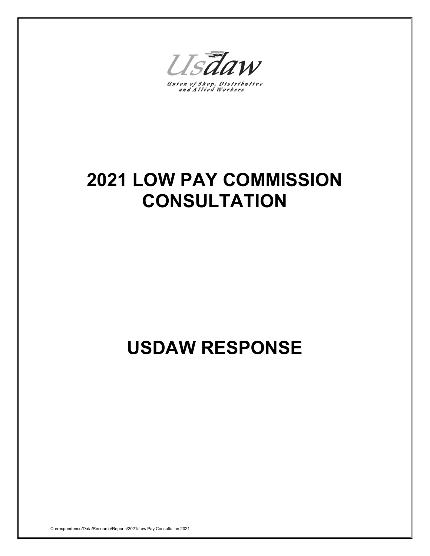Usdaw

Union of Shop, Distributive<br>and Allied Workers

# **2021 LOW PAY COMMISSION CONSULTATION**

# **USDAW RESPONSE**

Correspondence/Data/Research/Reports/2021/Low Pay Consultation 2021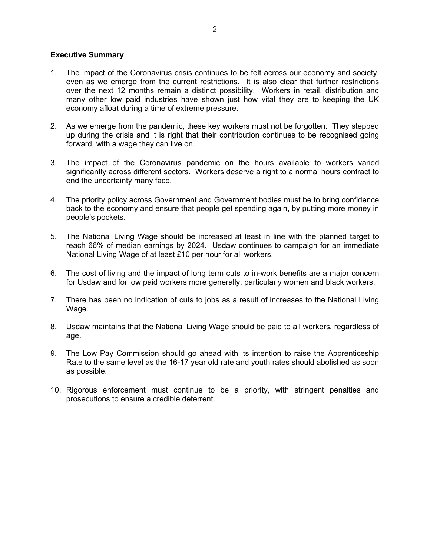## **Executive Summary**

- 1. The impact of the Coronavirus crisis continues to be felt across our economy and society, even as we emerge from the current restrictions. It is also clear that further restrictions over the next 12 months remain a distinct possibility. Workers in retail, distribution and many other low paid industries have shown just how vital they are to keeping the UK economy afloat during a time of extreme pressure.
- 2. As we emerge from the pandemic, these key workers must not be forgotten. They stepped up during the crisis and it is right that their contribution continues to be recognised going forward, with a wage they can live on.
- 3. The impact of the Coronavirus pandemic on the hours available to workers varied significantly across different sectors. Workers deserve a right to a normal hours contract to end the uncertainty many face.
- 4. The priority policy across Government and Government bodies must be to bring confidence back to the economy and ensure that people get spending again, by putting more money in people's pockets.
- 5. The National Living Wage should be increased at least in line with the planned target to reach 66% of median earnings by 2024. Usdaw continues to campaign for an immediate National Living Wage of at least £10 per hour for all workers.
- 6. The cost of living and the impact of long term cuts to in-work benefits are a major concern for Usdaw and for low paid workers more generally, particularly women and black workers.
- 7. There has been no indication of cuts to jobs as a result of increases to the National Living Wage.
- 8. Usdaw maintains that the National Living Wage should be paid to all workers, regardless of age.
- 9. The Low Pay Commission should go ahead with its intention to raise the Apprenticeship Rate to the same level as the 16-17 year old rate and youth rates should abolished as soon as possible.
- 10. Rigorous enforcement must continue to be a priority, with stringent penalties and prosecutions to ensure a credible deterrent.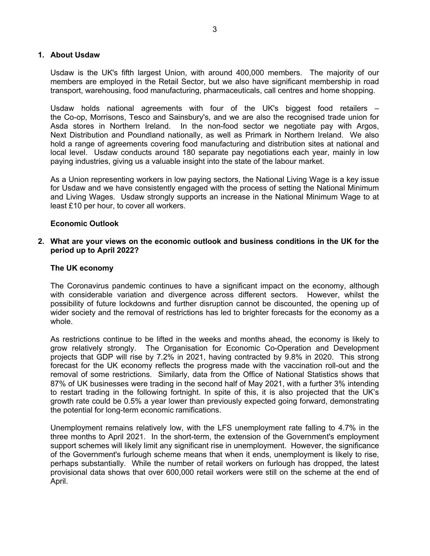## **1. About Usdaw**

Usdaw is the UK's fifth largest Union, with around 400,000 members. The majority of our members are employed in the Retail Sector, but we also have significant membership in road transport, warehousing, food manufacturing, pharmaceuticals, call centres and home shopping.

Usdaw holds national agreements with four of the UK's biggest food retailers – the Co-op, Morrisons, Tesco and Sainsbury's, and we are also the recognised trade union for Asda stores in Northern Ireland. In the non-food sector we negotiate pay with Argos, Next Distribution and Poundland nationally, as well as Primark in Northern Ireland. We also hold a range of agreements covering food manufacturing and distribution sites at national and local level. Usdaw conducts around 180 separate pay negotiations each year, mainly in low paying industries, giving us a valuable insight into the state of the labour market.

As a Union representing workers in low paying sectors, the National Living Wage is a key issue for Usdaw and we have consistently engaged with the process of setting the National Minimum and Living Wages. Usdaw strongly supports an increase in the National Minimum Wage to at least £10 per hour, to cover all workers.

## **Economic Outlook**

**2. What are your views on the economic outlook and business conditions in the UK for the period up to April 2022?**

#### **The UK economy**

The Coronavirus pandemic continues to have a significant impact on the economy, although with considerable variation and divergence across different sectors. However, whilst the possibility of future lockdowns and further disruption cannot be discounted, the opening up of wider society and the removal of restrictions has led to brighter forecasts for the economy as a whole.

As restrictions continue to be lifted in the weeks and months ahead, the economy is likely to grow relatively strongly. The Organisation for Economic Co-Operation and Development projects that GDP will rise by 7.2% in 2021, having contracted by 9.8% in 2020. This strong forecast for the UK economy reflects the progress made with the vaccination roll-out and the removal of some restrictions. Similarly, data from the Office of National Statistics shows that 87% of UK businesses were trading in the second half of May 2021, with a further 3% intending to restart trading in the following fortnight. In spite of this, it is also projected that the UK's growth rate could be 0.5% a year lower than previously expected going forward, demonstrating the potential for long-term economic ramifications.

Unemployment remains relatively low, with the LFS unemployment rate falling to 4.7% in the three months to April 2021. In the short-term, the extension of the Government's employment support schemes will likely limit any significant rise in unemployment. However, the significance of the Government's furlough scheme means that when it ends, unemployment is likely to rise, perhaps substantially. While the number of retail workers on furlough has dropped, the latest provisional data shows that over 600,000 retail workers were still on the scheme at the end of April.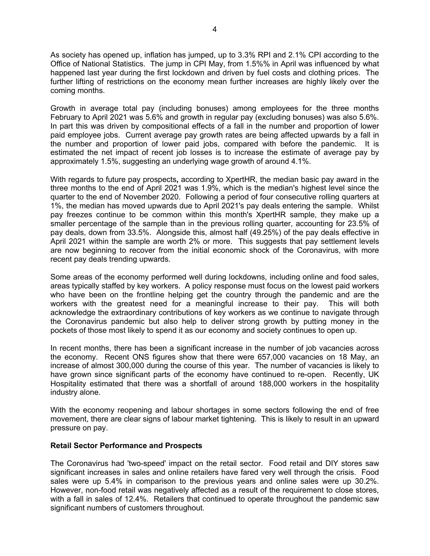As society has opened up, inflation has jumped, up to 3.3% RPI and 2.1% CPI according to the Office of National Statistics. The jump in CPI May, from 1.5%% in April was influenced by what happened last year during the first lockdown and driven by fuel costs and clothing prices. The further lifting of restrictions on the economy mean further increases are highly likely over the coming months.

Growth in average total pay (including bonuses) among employees for the three months February to April 2021 was 5.6% and growth in regular pay (excluding bonuses) was also 5.6%. In part this was driven by compositional effects of a fall in the number and proportion of lower paid employee jobs. Current average pay growth rates are being affected upwards by a fall in the number and proportion of lower paid jobs, compared with before the pandemic. It is estimated the net impact of recent job losses is to increase the estimate of average pay by approximately 1.5%, suggesting an underlying wage growth of around 4.1%.

With regards to future pay prospects**,** according to XpertHR, the median basic pay award in the three months to the end of April 2021 was 1.9%, which is the median's highest level since the quarter to the end of November 2020. Following a period of four consecutive rolling quarters at 1%, the median has moved upwards due to April 2021's pay deals entering the sample. Whilst pay freezes continue to be common within this month's XpertHR sample, they make up a smaller percentage of the sample than in the previous rolling quarter, accounting for 23.5% of pay deals, down from 33.5%. Alongside this, almost half (49.25%) of the pay deals effective in April 2021 within the sample are worth 2% or more. This suggests that pay settlement levels are now beginning to recover from the initial economic shock of the Coronavirus, with more recent pay deals trending upwards.

Some areas of the economy performed well during lockdowns, including online and food sales, areas typically staffed by key workers. A policy response must focus on the lowest paid workers who have been on the frontline helping get the country through the pandemic and are the workers with the greatest need for a meaningful increase to their pay. This will both acknowledge the extraordinary contributions of key workers as we continue to navigate through the Coronavirus pandemic but also help to deliver strong growth by putting money in the pockets of those most likely to spend it as our economy and society continues to open up.

In recent months, there has been a significant increase in the number of job vacancies across the economy. Recent ONS figures show that there were 657,000 vacancies on 18 May, an increase of almost 300,000 during the course of this year. The number of vacancies is likely to have grown since significant parts of the economy have continued to re-open. Recently, UK Hospitality estimated that there was a shortfall of around 188,000 workers in the hospitality industry alone.

With the economy reopening and labour shortages in some sectors following the end of free movement, there are clear signs of labour market tightening. This is likely to result in an upward pressure on pay.

#### **Retail Sector Performance and Prospects**

The Coronavirus had 'two-speed' impact on the retail sector. Food retail and DIY stores saw significant increases in sales and online retailers have fared very well through the crisis. Food sales were up 5.4% in comparison to the previous years and online sales were up 30.2%. However, non-food retail was negatively affected as a result of the requirement to close stores, with a fall in sales of 12.4%. Retailers that continued to operate throughout the pandemic saw significant numbers of customers throughout.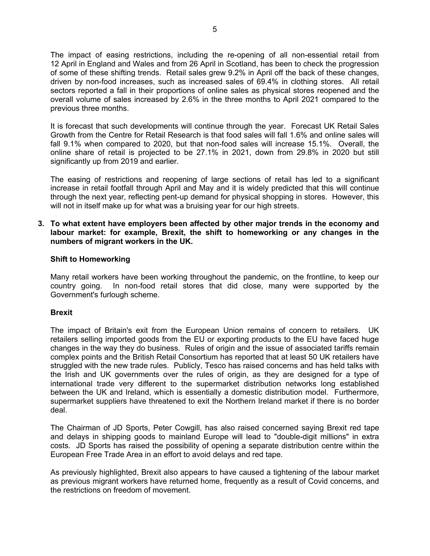The impact of easing restrictions, including the re-opening of all non-essential retail from 12 April in England and Wales and from 26 April in Scotland, has been to check the progression of some of these shifting trends. Retail sales grew 9.2% in April off the back of these changes, driven by non-food increases, such as increased sales of 69.4% in clothing stores. All retail sectors reported a fall in their proportions of online sales as physical stores reopened and the overall volume of sales increased by 2.6% in the three months to April 2021 compared to the previous three months.

It is forecast that such developments will continue through the year. Forecast UK Retail Sales Growth from the Centre for Retail Research is that food sales will fall 1.6% and online sales will fall 9.1% when compared to 2020, but that non-food sales will increase 15.1%. Overall, the online share of retail is projected to be 27.1% in 2021, down from 29.8% in 2020 but still significantly up from 2019 and earlier.

The easing of restrictions and reopening of large sections of retail has led to a significant increase in retail footfall through April and May and it is widely predicted that this will continue through the next year, reflecting pent-up demand for physical shopping in stores. However, this will not in itself make up for what was a bruising year for our high streets.

## **3. To what extent have employers been affected by other major trends in the economy and labour market: for example, Brexit, the shift to homeworking or any changes in the numbers of migrant workers in the UK.**

## **Shift to Homeworking**

Many retail workers have been working throughout the pandemic, on the frontline, to keep our country going. In non-food retail stores that did close, many were supported by the Government's furlough scheme.

# **Brexit**

The impact of Britain's exit from the European Union remains of concern to retailers. UK retailers selling imported goods from the EU or exporting products to the EU have faced huge changes in the way they do business. Rules of origin and the issue of associated tariffs remain complex points and the British Retail Consortium has reported that at least 50 UK retailers have struggled with the new trade rules. Publicly, Tesco has raised concerns and has held talks with the Irish and UK governments over the rules of origin, as they are designed for a type of international trade very different to the supermarket distribution networks long established between the UK and Ireland, which is essentially a domestic distribution model. Furthermore, supermarket suppliers have threatened to exit the Northern Ireland market if there is no border deal.

The Chairman of JD Sports, Peter Cowgill, has also raised concerned saying Brexit red tape and delays in shipping goods to mainland Europe will lead to "double-digit millions" in extra costs. JD Sports has raised the possibility of opening a separate distribution centre within the European Free Trade Area in an effort to avoid delays and red tape.

As previously highlighted, Brexit also appears to have caused a tightening of the labour market as previous migrant workers have returned home, frequently as a result of Covid concerns, and the restrictions on freedom of movement.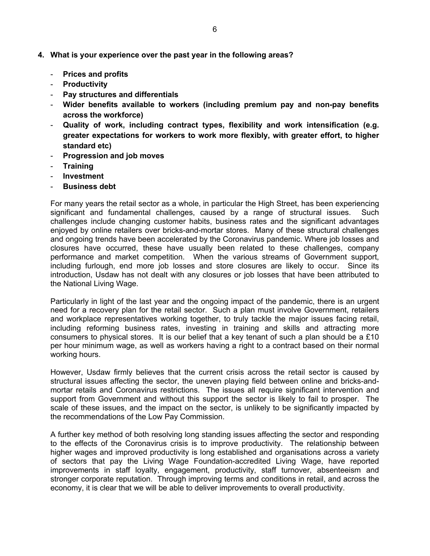- **4. What is your experience over the past year in the following areas?** 
	- **Prices and profits**
	- **Productivity**
	- **Pay structures and differentials**
	- **Wider benefits available to workers (including premium pay and non-pay benefits across the workforce)**
	- **Quality of work, including contract types, flexibility and work intensification (e.g. greater expectations for workers to work more flexibly, with greater effort, to higher standard etc)**
	- **Progression and job moves**
	- **Training**
	- **Investment**
	- **Business debt**

For many years the retail sector as a whole, in particular the High Street, has been experiencing significant and fundamental challenges, caused by a range of structural issues. Such challenges include changing customer habits, business rates and the significant advantages enjoyed by online retailers over bricks-and-mortar stores. Many of these structural challenges and ongoing trends have been accelerated by the Coronavirus pandemic. Where job losses and closures have occurred, these have usually been related to these challenges, company performance and market competition. When the various streams of Government support, including furlough, end more job losses and store closures are likely to occur. Since its introduction, Usdaw has not dealt with any closures or job losses that have been attributed to the National Living Wage.

Particularly in light of the last year and the ongoing impact of the pandemic, there is an urgent need for a recovery plan for the retail sector. Such a plan must involve Government, retailers and workplace representatives working together, to truly tackle the major issues facing retail, including reforming business rates, investing in training and skills and attracting more consumers to physical stores. It is our belief that a key tenant of such a plan should be a £10 per hour minimum wage, as well as workers having a right to a contract based on their normal working hours.

However, Usdaw firmly believes that the current crisis across the retail sector is caused by structural issues affecting the sector, the uneven playing field between online and bricks-andmortar retails and Coronavirus restrictions. The issues all require significant intervention and support from Government and without this support the sector is likely to fail to prosper. The scale of these issues, and the impact on the sector, is unlikely to be significantly impacted by the recommendations of the Low Pay Commission.

A further key method of both resolving long standing issues affecting the sector and responding to the effects of the Coronavirus crisis is to improve productivity. The relationship between higher wages and improved productivity is long established and organisations across a variety of sectors that pay the Living Wage Foundation-accredited Living Wage, have reported improvements in staff loyalty, engagement, productivity, staff turnover, absenteeism and stronger corporate reputation. Through improving terms and conditions in retail, and across the economy, it is clear that we will be able to deliver improvements to overall productivity.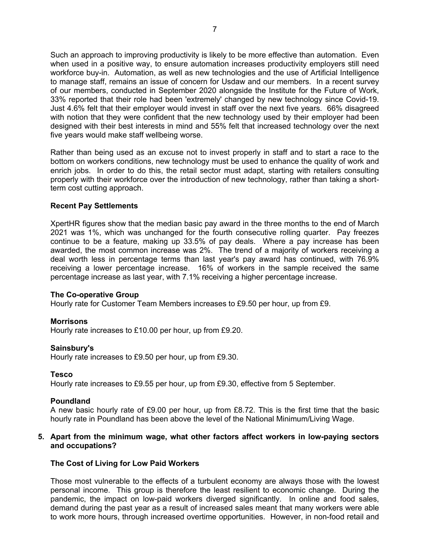Such an approach to improving productivity is likely to be more effective than automation. Even when used in a positive way, to ensure automation increases productivity employers still need workforce buy-in. Automation, as well as new technologies and the use of Artificial Intelligence to manage staff, remains an issue of concern for Usdaw and our members. In a recent survey of our members, conducted in September 2020 alongside the Institute for the Future of Work, 33% reported that their role had been 'extremely' changed by new technology since Covid-19. Just 4.6% felt that their employer would invest in staff over the next five years. 66% disagreed with notion that they were confident that the new technology used by their employer had been designed with their best interests in mind and 55% felt that increased technology over the next five years would make staff wellbeing worse.

Rather than being used as an excuse not to invest properly in staff and to start a race to the bottom on workers conditions, new technology must be used to enhance the quality of work and enrich jobs. In order to do this, the retail sector must adapt, starting with retailers consulting properly with their workforce over the introduction of new technology, rather than taking a shortterm cost cutting approach.

## **Recent Pay Settlements**

XpertHR figures show that the median basic pay award in the three months to the end of March 2021 was 1%, which was unchanged for the fourth consecutive rolling quarter. Pay freezes continue to be a feature, making up 33.5% of pay deals. Where a pay increase has been awarded, the most common increase was 2%. The trend of a majority of workers receiving a deal worth less in percentage terms than last year's pay award has continued, with 76.9% receiving a lower percentage increase. 16% of workers in the sample received the same percentage increase as last year, with 7.1% receiving a higher percentage increase.

#### **The Co-operative Group**

Hourly rate for Customer Team Members increases to £9.50 per hour, up from £9.

#### **Morrisons**

Hourly rate increases to £10.00 per hour, up from £9.20.

#### **Sainsbury's**

Hourly rate increases to £9.50 per hour, up from £9.30.

#### **Tesco**

Hourly rate increases to £9.55 per hour, up from £9.30, effective from 5 September.

#### **Poundland**

A new basic hourly rate of £9.00 per hour, up from £8.72. This is the first time that the basic hourly rate in Poundland has been above the level of the National Minimum/Living Wage.

#### **5. Apart from the minimum wage, what other factors affect workers in low-paying sectors and occupations?**

#### **The Cost of Living for Low Paid Workers**

Those most vulnerable to the effects of a turbulent economy are always those with the lowest personal income. This group is therefore the least resilient to economic change. During the pandemic, the impact on low-paid workers diverged significantly. In online and food sales, demand during the past year as a result of increased sales meant that many workers were able to work more hours, through increased overtime opportunities. However, in non-food retail and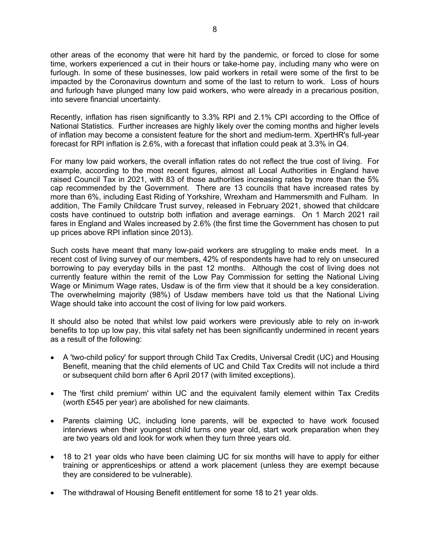other areas of the economy that were hit hard by the pandemic, or forced to close for some time, workers experienced a cut in their hours or take-home pay, including many who were on furlough. In some of these businesses, low paid workers in retail were some of the first to be impacted by the Coronavirus downturn and some of the last to return to work. Loss of hours and furlough have plunged many low paid workers, who were already in a precarious position, into severe financial uncertainty.

Recently, inflation has risen significantly to 3.3% RPI and 2.1% CPI according to the Office of National Statistics. Further increases are highly likely over the coming months and higher levels of inflation may become a consistent feature for the short and medium-term. XpertHR's full-year forecast for RPI inflation is 2.6%, with a forecast that inflation could peak at 3.3% in Q4.

For many low paid workers, the overall inflation rates do not reflect the true cost of living. For example, according to the most recent figures, almost all Local Authorities in England have raised Council Tax in 2021, with 83 of those authorities increasing rates by more than the 5% cap recommended by the Government. There are 13 councils that have increased rates by more than 6%, including East Riding of Yorkshire, Wrexham and Hammersmith and Fulham. In addition, The Family Childcare Trust survey, released in February 2021, showed that childcare costs have continued to outstrip both inflation and average earnings. On 1 March 2021 rail fares in England and Wales increased by 2.6% (the first time the Government has chosen to put up prices above RPI inflation since 2013).

Such costs have meant that many low-paid workers are struggling to make ends meet. In a recent cost of living survey of our members, 42% of respondents have had to rely on unsecured borrowing to pay everyday bills in the past 12 months. Although the cost of living does not currently feature within the remit of the Low Pay Commission for setting the National Living Wage or Minimum Wage rates, Usdaw is of the firm view that it should be a key consideration. The overwhelming majority (98%) of Usdaw members have told us that the National Living Wage should take into account the cost of living for low paid workers.

It should also be noted that whilst low paid workers were previously able to rely on in-work benefits to top up low pay, this vital safety net has been significantly undermined in recent years as a result of the following:

- A 'two-child policy' for support through Child Tax Credits, Universal Credit (UC) and Housing Benefit, meaning that the child elements of UC and Child Tax Credits will not include a third or subsequent child born after 6 April 2017 (with limited exceptions).
- The 'first child premium' within UC and the equivalent family element within Tax Credits (worth £545 per year) are abolished for new claimants.
- Parents claiming UC, including lone parents, will be expected to have work focused interviews when their youngest child turns one year old, start work preparation when they are two years old and look for work when they turn three years old.
- 18 to 21 year olds who have been claiming UC for six months will have to apply for either training or apprenticeships or attend a work placement (unless they are exempt because they are considered to be vulnerable).
- The withdrawal of Housing Benefit entitlement for some 18 to 21 year olds.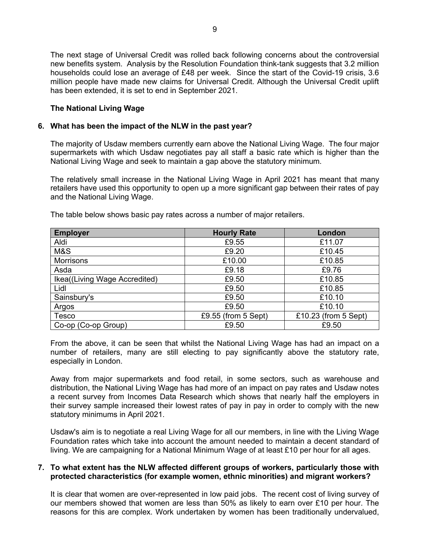The next stage of Universal Credit was rolled back following concerns about the controversial new benefits system. Analysis by the Resolution Foundation think-tank suggests that 3.2 million households could lose an average of £48 per week. Since the start of the Covid-19 crisis, 3.6 million people have made new claims for Universal Credit. Although the Universal Credit uplift has been extended, it is set to end in September 2021.

## **The National Living Wage**

#### **6. What has been the impact of the NLW in the past year?**

The majority of Usdaw members currently earn above the National Living Wage. The four major supermarkets with which Usdaw negotiates pay all staff a basic rate which is higher than the National Living Wage and seek to maintain a gap above the statutory minimum.

The relatively small increase in the National Living Wage in April 2021 has meant that many retailers have used this opportunity to open up a more significant gap between their rates of pay and the National Living Wage.

| <b>Employer</b>               | <b>Hourly Rate</b>  | London               |
|-------------------------------|---------------------|----------------------|
| Aldi                          | £9.55               | £11.07               |
| M&S                           | £9.20               | £10.45               |
| <b>Morrisons</b>              | £10.00              | £10.85               |
| Asda                          | £9.18               | £9.76                |
| Ikea((Living Wage Accredited) | £9.50               | £10.85               |
| Lidl                          | £9.50               | £10.85               |
| Sainsbury's                   | £9.50               | £10.10               |
| Argos                         | £9.50               | £10.10               |
| Tesco                         | £9.55 (from 5 Sept) | £10.23 (from 5 Sept) |
| Co-op (Co-op Group)           | £9.50               | £9.50                |

The table below shows basic pay rates across a number of major retailers.

From the above, it can be seen that whilst the National Living Wage has had an impact on a number of retailers, many are still electing to pay significantly above the statutory rate, especially in London.

Away from major supermarkets and food retail, in some sectors, such as warehouse and distribution, the National Living Wage has had more of an impact on pay rates and Usdaw notes a recent survey from Incomes Data Research which shows that nearly half the employers in their survey sample increased their lowest rates of pay in pay in order to comply with the new statutory minimums in April 2021.

Usdaw's aim is to negotiate a real Living Wage for all our members, in line with the Living Wage Foundation rates which take into account the amount needed to maintain a decent standard of living. We are campaigning for a National Minimum Wage of at least £10 per hour for all ages.

## **7. To what extent has the NLW affected different groups of workers, particularly those with protected characteristics (for example women, ethnic minorities) and migrant workers?**

It is clear that women are over-represented in low paid jobs. The recent cost of living survey of our members showed that women are less than 50% as likely to earn over £10 per hour. The reasons for this are complex. Work undertaken by women has been traditionally undervalued,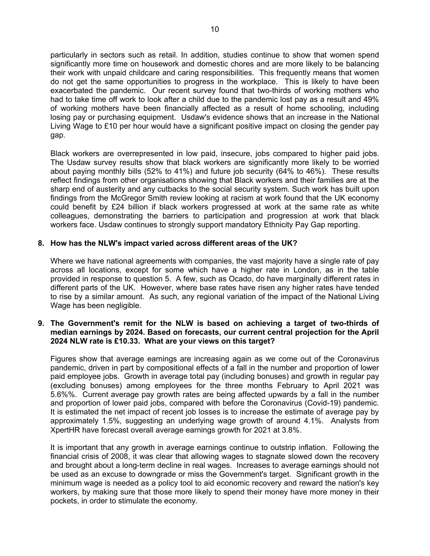particularly in sectors such as retail. In addition, studies continue to show that women spend significantly more time on housework and domestic chores and are more likely to be balancing their work with unpaid childcare and caring responsibilities. This frequently means that women do not get the same opportunities to progress in the workplace. This is likely to have been exacerbated the pandemic. Our recent survey found that two-thirds of working mothers who had to take time off work to look after a child due to the pandemic lost pay as a result and 49% of working mothers have been financially affected as a result of home schooling, including losing pay or purchasing equipment. Usdaw's evidence shows that an increase in the National Living Wage to £10 per hour would have a significant positive impact on closing the gender pay gap.

Black workers are overrepresented in low paid, insecure, jobs compared to higher paid jobs. The Usdaw survey results show that black workers are significantly more likely to be worried about paying monthly bills (52% to 41%) and future job security (64% to 46%). These results reflect findings from other organisations showing that Black workers and their families are at the sharp end of austerity and any cutbacks to the social security system. Such work has built upon findings from the McGregor Smith review looking at racism at work found that the UK economy could benefit by £24 billion if black workers progressed at work at the same rate as white colleagues, demonstrating the barriers to participation and progression at work that black workers face. Usdaw continues to strongly support mandatory Ethnicity Pay Gap reporting.

## **8. How has the NLW's impact varied across different areas of the UK?**

Where we have national agreements with companies, the vast majority have a single rate of pay across all locations, except for some which have a higher rate in London, as in the table provided in response to question 5. A few, such as Ocado, do have marginally different rates in different parts of the UK. However, where base rates have risen any higher rates have tended to rise by a similar amount. As such, any regional variation of the impact of the National Living Wage has been negligible.

## **9. The Government's remit for the NLW is based on achieving a target of two-thirds of median earnings by 2024. Based on forecasts, our current central projection for the April 2024 NLW rate is £10.33. What are your views on this target?**

Figures show that average earnings are increasing again as we come out of the Coronavirus pandemic, driven in part by compositional effects of a fall in the number and proportion of lower paid employee jobs. Growth in average total pay (including bonuses) and growth in regular pay (excluding bonuses) among employees for the three months February to April 2021 was 5.6%%. Current average pay growth rates are being affected upwards by a fall in the number and proportion of lower paid jobs, compared with before the Coronavirus (Covid-19) pandemic. It is estimated the net impact of recent job losses is to increase the estimate of average pay by approximately 1.5%, suggesting an underlying wage growth of around 4.1%. Analysts from XpertHR have forecast overall average earnings growth for 2021 at 3.8%.

It is important that any growth in average earnings continue to outstrip inflation. Following the financial crisis of 2008, it was clear that allowing wages to stagnate slowed down the recovery and brought about a long-term decline in real wages. Increases to average earnings should not be used as an excuse to downgrade or miss the Government's target. Significant growth in the minimum wage is needed as a policy tool to aid economic recovery and reward the nation's key workers, by making sure that those more likely to spend their money have more money in their pockets, in order to stimulate the economy.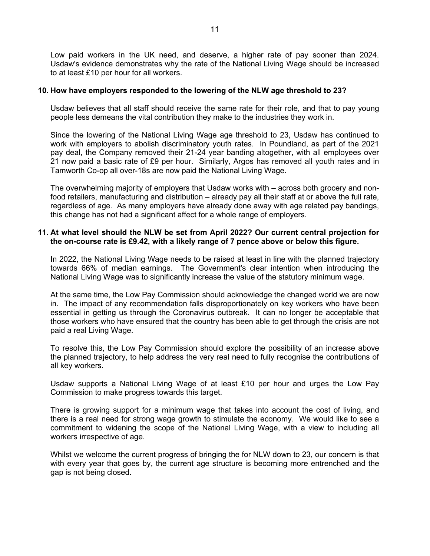Low paid workers in the UK need, and deserve, a higher rate of pay sooner than 2024. Usdaw's evidence demonstrates why the rate of the National Living Wage should be increased to at least £10 per hour for all workers.

#### **10. How have employers responded to the lowering of the NLW age threshold to 23?**

Usdaw believes that all staff should receive the same rate for their role, and that to pay young people less demeans the vital contribution they make to the industries they work in.

Since the lowering of the National Living Wage age threshold to 23, Usdaw has continued to work with employers to abolish discriminatory youth rates. In Poundland, as part of the 2021 pay deal, the Company removed their 21-24 year banding altogether, with all employees over 21 now paid a basic rate of £9 per hour. Similarly, Argos has removed all youth rates and in Tamworth Co-op all over-18s are now paid the National Living Wage.

The overwhelming majority of employers that Usdaw works with – across both grocery and nonfood retailers, manufacturing and distribution – already pay all their staff at or above the full rate, regardless of age. As many employers have already done away with age related pay bandings, this change has not had a significant affect for a whole range of employers.

#### **11. At what level should the NLW be set from April 2022? Our current central projection for the on-course rate is £9.42, with a likely range of 7 pence above or below this figure.**

In 2022, the National Living Wage needs to be raised at least in line with the planned trajectory towards 66% of median earnings. The Government's clear intention when introducing the National Living Wage was to significantly increase the value of the statutory minimum wage.

At the same time, the Low Pay Commission should acknowledge the changed world we are now in. The impact of any recommendation falls disproportionately on key workers who have been essential in getting us through the Coronavirus outbreak. It can no longer be acceptable that those workers who have ensured that the country has been able to get through the crisis are not paid a real Living Wage.

To resolve this, the Low Pay Commission should explore the possibility of an increase above the planned trajectory, to help address the very real need to fully recognise the contributions of all key workers.

Usdaw supports a National Living Wage of at least £10 per hour and urges the Low Pay Commission to make progress towards this target.

There is growing support for a minimum wage that takes into account the cost of living, and there is a real need for strong wage growth to stimulate the economy. We would like to see a commitment to widening the scope of the National Living Wage, with a view to including all workers irrespective of age.

Whilst we welcome the current progress of bringing the for NLW down to 23, our concern is that with every year that goes by, the current age structure is becoming more entrenched and the gap is not being closed.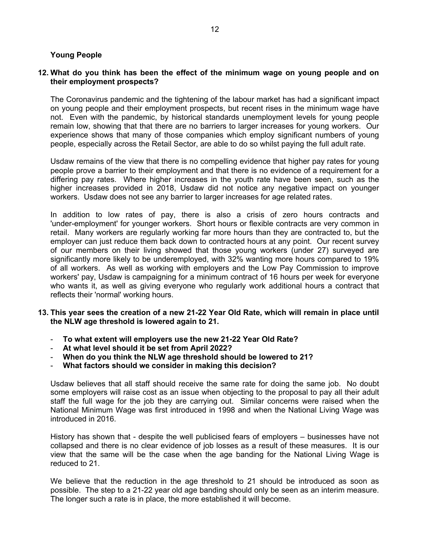## **Young People**

## **12. What do you think has been the effect of the minimum wage on young people and on their employment prospects?**

The Coronavirus pandemic and the tightening of the labour market has had a significant impact on young people and their employment prospects, but recent rises in the minimum wage have not. Even with the pandemic, by historical standards unemployment levels for young people remain low, showing that that there are no barriers to larger increases for young workers. Our experience shows that many of those companies which employ significant numbers of young people, especially across the Retail Sector, are able to do so whilst paying the full adult rate.

Usdaw remains of the view that there is no compelling evidence that higher pay rates for young people prove a barrier to their employment and that there is no evidence of a requirement for a differing pay rates. Where higher increases in the youth rate have been seen, such as the higher increases provided in 2018, Usdaw did not notice any negative impact on younger workers. Usdaw does not see any barrier to larger increases for age related rates.

In addition to low rates of pay, there is also a crisis of zero hours contracts and 'under-employment' for younger workers. Short hours or flexible contracts are very common in retail. Many workers are regularly working far more hours than they are contracted to, but the employer can just reduce them back down to contracted hours at any point. Our recent survey of our members on their living showed that those young workers (under 27) surveyed are significantly more likely to be underemployed, with 32% wanting more hours compared to 19% of all workers. As well as working with employers and the Low Pay Commission to improve workers' pay, Usdaw is campaigning for a minimum contract of 16 hours per week for everyone who wants it, as well as giving everyone who regularly work additional hours a contract that reflects their 'normal' working hours.

- **13. This year sees the creation of a new 21-22 Year Old Rate, which will remain in place until the NLW age threshold is lowered again to 21.** 
	- **To what extent will employers use the new 21-22 Year Old Rate?**
	- **At what level should it be set from April 2022?**
	- **When do you think the NLW age threshold should be lowered to 21?**
	- **What factors should we consider in making this decision?**

Usdaw believes that all staff should receive the same rate for doing the same job. No doubt some employers will raise cost as an issue when objecting to the proposal to pay all their adult staff the full wage for the job they are carrying out. Similar concerns were raised when the National Minimum Wage was first introduced in 1998 and when the National Living Wage was introduced in 2016.

History has shown that - despite the well publicised fears of employers – businesses have not collapsed and there is no clear evidence of job losses as a result of these measures. It is our view that the same will be the case when the age banding for the National Living Wage is reduced to 21.

We believe that the reduction in the age threshold to 21 should be introduced as soon as possible. The step to a 21-22 year old age banding should only be seen as an interim measure. The longer such a rate is in place, the more established it will become.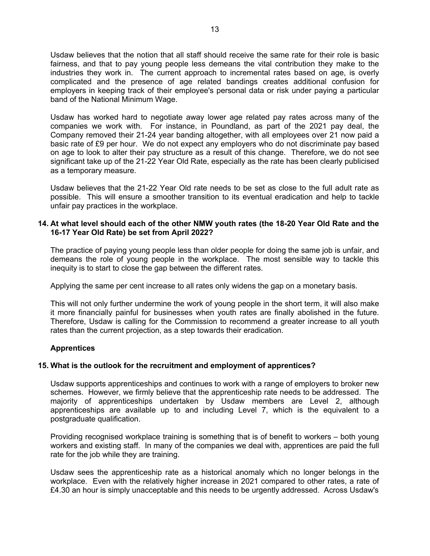Usdaw believes that the notion that all staff should receive the same rate for their role is basic fairness, and that to pay young people less demeans the vital contribution they make to the industries they work in. The current approach to incremental rates based on age, is overly complicated and the presence of age related bandings creates additional confusion for employers in keeping track of their employee's personal data or risk under paying a particular band of the National Minimum Wage.

Usdaw has worked hard to negotiate away lower age related pay rates across many of the companies we work with. For instance, in Poundland, as part of the 2021 pay deal, the Company removed their 21-24 year banding altogether, with all employees over 21 now paid a basic rate of £9 per hour. We do not expect any employers who do not discriminate pay based on age to look to alter their pay structure as a result of this change. Therefore, we do not see significant take up of the 21-22 Year Old Rate, especially as the rate has been clearly publicised as a temporary measure.

Usdaw believes that the 21-22 Year Old rate needs to be set as close to the full adult rate as possible. This will ensure a smoother transition to its eventual eradication and help to tackle unfair pay practices in the workplace.

## **14. At what level should each of the other NMW youth rates (the 18-20 Year Old Rate and the 16-17 Year Old Rate) be set from April 2022?**

The practice of paying young people less than older people for doing the same job is unfair, and demeans the role of young people in the workplace. The most sensible way to tackle this inequity is to start to close the gap between the different rates.

Applying the same per cent increase to all rates only widens the gap on a monetary basis.

This will not only further undermine the work of young people in the short term, it will also make it more financially painful for businesses when youth rates are finally abolished in the future. Therefore, Usdaw is calling for the Commission to recommend a greater increase to all youth rates than the current projection, as a step towards their eradication.

# **Apprentices**

#### **15. What is the outlook for the recruitment and employment of apprentices?**

Usdaw supports apprenticeships and continues to work with a range of employers to broker new schemes. However, we firmly believe that the apprenticeship rate needs to be addressed. The majority of apprenticeships undertaken by Usdaw members are Level 2, although apprenticeships are available up to and including Level 7, which is the equivalent to a postgraduate qualification.

Providing recognised workplace training is something that is of benefit to workers – both young workers and existing staff. In many of the companies we deal with, apprentices are paid the full rate for the job while they are training.

Usdaw sees the apprenticeship rate as a historical anomaly which no longer belongs in the workplace. Even with the relatively higher increase in 2021 compared to other rates, a rate of £4.30 an hour is simply unacceptable and this needs to be urgently addressed. Across Usdaw's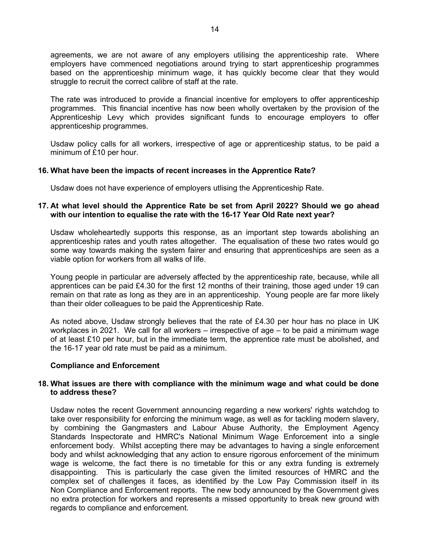agreements, we are not aware of any employers utilising the apprenticeship rate. Where employers have commenced negotiations around trying to start apprenticeship programmes based on the apprenticeship minimum wage, it has quickly become clear that they would struggle to recruit the correct calibre of staff at the rate.

The rate was introduced to provide a financial incentive for employers to offer apprenticeship programmes. This financial incentive has now been wholly overtaken by the provision of the Apprenticeship Levy which provides significant funds to encourage employers to offer apprenticeship programmes.

Usdaw policy calls for all workers, irrespective of age or apprenticeship status, to be paid a minimum of £10 per hour.

#### **16. What have been the impacts of recent increases in the Apprentice Rate?**

Usdaw does not have experience of employers utlising the Apprenticeship Rate.

## **17. At what level should the Apprentice Rate be set from April 2022? Should we go ahead with our intention to equalise the rate with the 16-17 Year Old Rate next year?**

Usdaw wholeheartedly supports this response, as an important step towards abolishing an apprenticeship rates and youth rates altogether. The equalisation of these two rates would go some way towards making the system fairer and ensuring that apprenticeships are seen as a viable option for workers from all walks of life.

Young people in particular are adversely affected by the apprenticeship rate, because, while all apprentices can be paid £4.30 for the first 12 months of their training, those aged under 19 can remain on that rate as long as they are in an apprenticeship. Young people are far more likely than their older colleagues to be paid the Apprenticeship Rate.

As noted above, Usdaw strongly believes that the rate of £4.30 per hour has no place in UK workplaces in 2021. We call for all workers – irrespective of age – to be paid a minimum wage of at least £10 per hour, but in the immediate term, the apprentice rate must be abolished, and the 16-17 year old rate must be paid as a minimum.

#### **Compliance and Enforcement**

#### **18. What issues are there with compliance with the minimum wage and what could be done to address these?**

Usdaw notes the recent Government announcing regarding a new workers' rights watchdog to take over responsibility for enforcing the minimum wage, as well as for tackling modern slavery, by combining the Gangmasters and Labour Abuse Authority, the Employment Agency Standards Inspectorate and HMRC's National Minimum Wage Enforcement into a single enforcement body. Whilst accepting there may be advantages to having a single enforcement body and whilst acknowledging that any action to ensure rigorous enforcement of the minimum wage is welcome, the fact there is no timetable for this or any extra funding is extremely disappointing. This is particularly the case given the limited resources of HMRC and the complex set of challenges it faces, as identified by the Low Pay Commission itself in its Non Compliance and Enforcement reports. The new body announced by the Government gives no extra protection for workers and represents a missed opportunity to break new ground with regards to compliance and enforcement.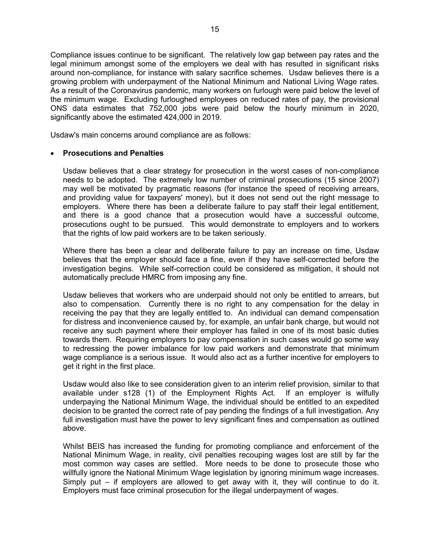Compliance issues continue to be significant. The relatively low gap between pay rates and the legal minimum amongst some of the employers we deal with has resulted in significant risks around non-compliance, for instance with salary sacrifice schemes. Usdaw believes there is a growing problem with underpayment of the National Minimum and National Living Wage rates. As a result of the Coronavirus pandemic, many workers on furlough were paid below the level of the minimum wage. Excluding furloughed employees on reduced rates of pay, the provisional ONS data estimates that 752,000 jobs were paid below the hourly minimum in 2020, significantly above the estimated 424,000 in 2019.

Usdaw's main concerns around compliance are as follows:

## • **Prosecutions and Penalties**

Usdaw believes that a clear strategy for prosecution in the worst cases of non-compliance needs to be adopted. The extremely low number of criminal prosecutions (15 since 2007) may well be motivated by pragmatic reasons (for instance the speed of receiving arrears, and providing value for taxpayers' money), but it does not send out the right message to employers. Where there has been a deliberate failure to pay staff their legal entitlement, and there is a good chance that a prosecution would have a successful outcome, prosecutions ought to be pursued. This would demonstrate to employers and to workers that the rights of low paid workers are to be taken seriously.

Where there has been a clear and deliberate failure to pay an increase on time, Usdaw believes that the employer should face a fine, even if they have self-corrected before the investigation begins. While self-correction could be considered as mitigation, it should not automatically preclude HMRC from imposing any fine.

Usdaw believes that workers who are underpaid should not only be entitled to arrears, but also to compensation. Currently there is no right to any compensation for the delay in receiving the pay that they are legally entitled to. An individual can demand compensation for distress and inconvenience caused by, for example, an unfair bank charge, but would not receive any such payment where their employer has failed in one of its most basic duties towards them. Requiring employers to pay compensation in such cases would go some way to redressing the power imbalance for low paid workers and demonstrate that minimum wage compliance is a serious issue. It would also act as a further incentive for employers to get it right in the first place.

Usdaw would also like to see consideration given to an interim relief provision, similar to that available under s128 (1) of the Employment Rights Act. If an employer is wilfully underpaying the National Minimum Wage, the individual should be entitled to an expedited decision to be granted the correct rate of pay pending the findings of a full investigation. Any full investigation must have the power to levy significant fines and compensation as outlined above.

Whilst BEIS has increased the funding for promoting compliance and enforcement of the National Minimum Wage, in reality, civil penalties recouping wages lost are still by far the most common way cases are settled. More needs to be done to prosecute those who willfully ignore the National Minimum Wage legislation by ignoring minimum wage increases. Simply put – if employers are allowed to get away with it, they will continue to do it. Employers must face criminal prosecution for the illegal underpayment of wages.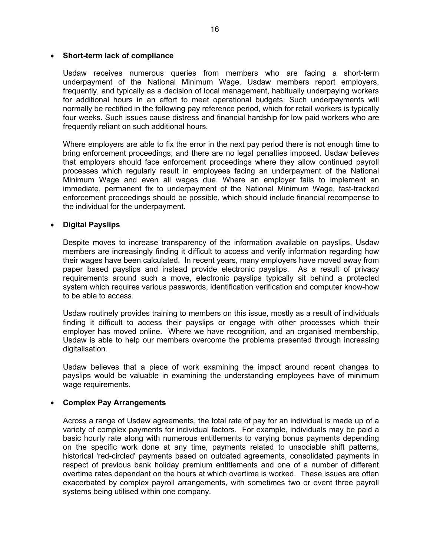#### • **Short-term lack of compliance**

Usdaw receives numerous queries from members who are facing a short-term underpayment of the National Minimum Wage. Usdaw members report employers, frequently, and typically as a decision of local management, habitually underpaying workers for additional hours in an effort to meet operational budgets. Such underpayments will normally be rectified in the following pay reference period, which for retail workers is typically four weeks. Such issues cause distress and financial hardship for low paid workers who are frequently reliant on such additional hours.

Where employers are able to fix the error in the next pay period there is not enough time to bring enforcement proceedings, and there are no legal penalties imposed. Usdaw believes that employers should face enforcement proceedings where they allow continued payroll processes which regularly result in employees facing an underpayment of the National Minimum Wage and even all wages due. Where an employer fails to implement an immediate, permanent fix to underpayment of the National Minimum Wage, fast-tracked enforcement proceedings should be possible, which should include financial recompense to the individual for the underpayment.

# • **Digital Payslips**

Despite moves to increase transparency of the information available on payslips, Usdaw members are increasingly finding it difficult to access and verify information regarding how their wages have been calculated. In recent years, many employers have moved away from paper based payslips and instead provide electronic payslips. As a result of privacy requirements around such a move, electronic payslips typically sit behind a protected system which requires various passwords, identification verification and computer know-how to be able to access.

Usdaw routinely provides training to members on this issue, mostly as a result of individuals finding it difficult to access their payslips or engage with other processes which their employer has moved online. Where we have recognition, and an organised membership, Usdaw is able to help our members overcome the problems presented through increasing digitalisation.

Usdaw believes that a piece of work examining the impact around recent changes to payslips would be valuable in examining the understanding employees have of minimum wage requirements.

#### • **Complex Pay Arrangements**

Across a range of Usdaw agreements, the total rate of pay for an individual is made up of a variety of complex payments for individual factors. For example, individuals may be paid a basic hourly rate along with numerous entitlements to varying bonus payments depending on the specific work done at any time, payments related to unsociable shift patterns, historical 'red-circled' payments based on outdated agreements, consolidated payments in respect of previous bank holiday premium entitlements and one of a number of different overtime rates dependant on the hours at which overtime is worked. These issues are often exacerbated by complex payroll arrangements, with sometimes two or event three payroll systems being utilised within one company.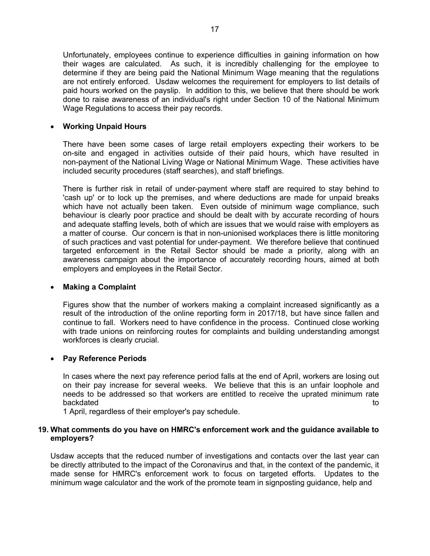Unfortunately, employees continue to experience difficulties in gaining information on how their wages are calculated. As such, it is incredibly challenging for the employee to determine if they are being paid the National Minimum Wage meaning that the regulations are not entirely enforced. Usdaw welcomes the requirement for employers to list details of paid hours worked on the payslip. In addition to this, we believe that there should be work done to raise awareness of an individual's right under Section 10 of the National Minimum Wage Regulations to access their pay records.

## • **Working Unpaid Hours**

There have been some cases of large retail employers expecting their workers to be on-site and engaged in activities outside of their paid hours, which have resulted in non-payment of the National Living Wage or National Minimum Wage. These activities have included security procedures (staff searches), and staff briefings.

There is further risk in retail of under-payment where staff are required to stay behind to 'cash up' or to lock up the premises, and where deductions are made for unpaid breaks which have not actually been taken. Even outside of minimum wage compliance, such behaviour is clearly poor practice and should be dealt with by accurate recording of hours and adequate staffing levels, both of which are issues that we would raise with employers as a matter of course. Our concern is that in non-unionised workplaces there is little monitoring of such practices and vast potential for under-payment. We therefore believe that continued targeted enforcement in the Retail Sector should be made a priority, along with an awareness campaign about the importance of accurately recording hours, aimed at both employers and employees in the Retail Sector.

# • **Making a Complaint**

Figures show that the number of workers making a complaint increased significantly as a result of the introduction of the online reporting form in 2017/18, but have since fallen and continue to fall. Workers need to have confidence in the process. Continued close working with trade unions on reinforcing routes for complaints and building understanding amongst workforces is clearly crucial.

# • **Pay Reference Periods**

In cases where the next pay reference period falls at the end of April, workers are losing out on their pay increase for several weeks. We believe that this is an unfair loophole and needs to be addressed so that workers are entitled to receive the uprated minimum rate backdated to the control of the control of the control of the control of the control of the control of the control of the control of the control of the control of the control of the control of the control of the control of

1 April, regardless of their employer's pay schedule.

#### **19. What comments do you have on HMRC's enforcement work and the guidance available to employers?**

Usdaw accepts that the reduced number of investigations and contacts over the last year can be directly attributed to the impact of the Coronavirus and that, in the context of the pandemic, it made sense for HMRC's enforcement work to focus on targeted efforts. Updates to the minimum wage calculator and the work of the promote team in signposting guidance, help and